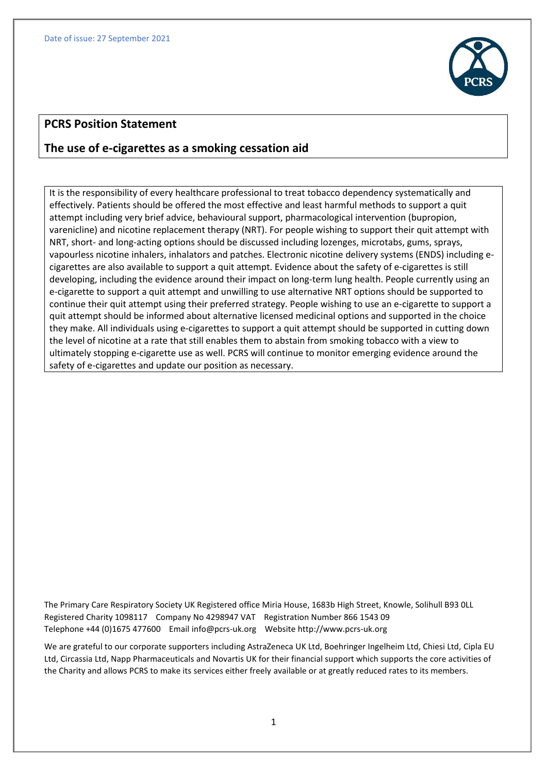

## **PCRS Position Statement**

# **The use of e-cigarettes as a smoking cessation aid**

It is the responsibility of every healthcare professional to treat tobacco dependency systematically and effectively. Patients should be offered the most effective and least harmful methods to support a quit attempt including very brief advice, behavioural support, pharmacological intervention (bupropion, varenicline) and nicotine replacement therapy (NRT). For people wishing to support their quit attempt with NRT, short- and long-acting options should be discussed including lozenges, microtabs, gums, sprays, vapourless nicotine inhalers, inhalators and patches. Electronic nicotine delivery systems (ENDS) including ecigarettes are also available to support a quit attempt. Evidence about the safety of e-cigarettes is still developing, including the evidence around their impact on long-term lung health. People currently using an e-cigarette to support a quit attempt and unwilling to use alternative NRT options should be supported to continue their quit attempt using their preferred strategy. People wishing to use an e-cigarette to support a quit attempt should be informed about alternative licensed medicinal options and supported in the choice they make. All individuals using e-cigarettes to support a quit attempt should be supported in cutting down the level of nicotine at a rate that still enables them to abstain from smoking tobacco with a view to ultimately stopping e-cigarette use as well. PCRS will continue to monitor emerging evidence around the safety of e-cigarettes and update our position as necessary.

The Primary Care Respiratory Society UK Registered office Miria House, 1683b High Street, Knowle, Solihull B93 0LL Registered Charity 1098117 Company No 4298947 VAT Registration Number 866 1543 09 Telephone +44 (0)1675 477600 Emai[l info@pcrs-uk.org](mailto:info@pcrs-uk.org) Website http://www.pcrs-uk.org

We are grateful to our corporate supporters including AstraZeneca UK Ltd, Boehringer Ingelheim Ltd, Chiesi Ltd, Cipla EU Ltd, Circassia Ltd, Napp Pharmaceuticals and Novartis UK for their financial support which supports the core activities of the Charity and allows PCRS to make its services either freely available or at greatly reduced rates to its members.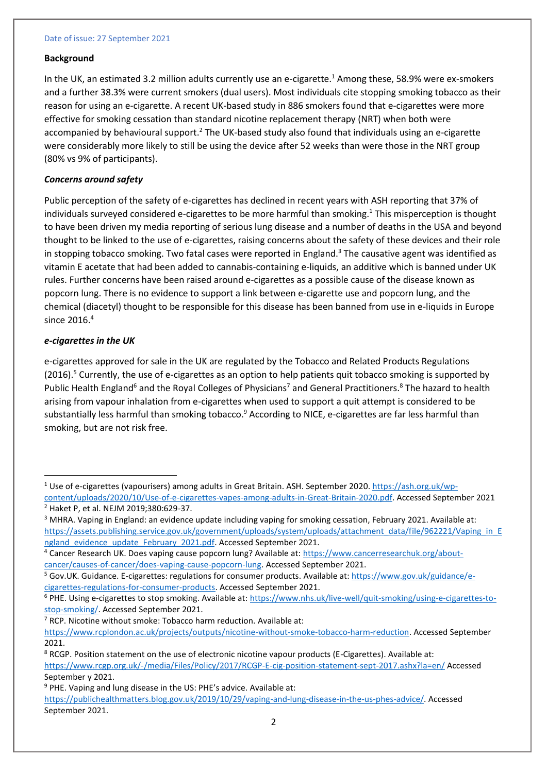#### Date of issue: 27 September 2021

#### **Background**

In the UK, an estimated 3.2 million adults currently use an e-cigarette.<sup>1</sup> Among these, 58.9% were ex-smokers and a further 38.3% were current smokers (dual users). Most individuals cite stopping smoking tobacco as their reason for using an e-cigarette. A recent UK-based study in 886 smokers found that e-cigarettes were more effective for smoking cessation than standard nicotine replacement therapy (NRT) when both were accompanied by behavioural support.<sup>2</sup> The UK-based study also found that individuals using an e-cigarette were considerably more likely to still be using the device after 52 weeks than were those in the NRT group (80% vs 9% of participants).

### *Concerns around safety*

Public perception of the safety of e-cigarettes has declined in recent years with ASH reporting that 37% of individuals surveyed considered e-cigarettes to be more harmful than smoking.<sup>1</sup> This misperception is thought to have been driven my media reporting of serious lung disease and a number of deaths in the USA and beyond thought to be linked to the use of e-cigarettes, raising concerns about the safety of these devices and their role in stopping tobacco smoking. Two fatal cases were reported in England. <sup>3</sup> The causative agent was identified as vitamin E acetate that had been added to cannabis-containing e-liquids, an additive which is banned under UK rules. Further concerns have been raised around e-cigarettes as a possible cause of the disease known as popcorn lung. There is no evidence to support a link between e-cigarette use and popcorn lung, and the chemical (diacetyl) thought to be responsible for this disease has been banned from use in e-liquids in Europe since 2016.<sup>4</sup>

### *e-cigarettes in the UK*

e-cigarettes approved for sale in the UK are regulated by the Tobacco and Related Products Regulations (2016).<sup>5</sup> Currently, the use of e-cigarettes as an option to help patients quit tobacco smoking is supported by Public Health England<sup>6</sup> and the Royal Colleges of Physicians<sup>7</sup> and General Practitioners.<sup>8</sup> The hazard to health arising from vapour inhalation from e-cigarettes when used to support a quit attempt is considered to be substantially less harmful than smoking tobacco.<sup>9</sup> According to NICE, e-cigarettes are far less harmful than smoking, but are not risk free.

<sup>&</sup>lt;sup>1</sup> Use of e-cigarettes (vapourisers) among adults in Great Britain. ASH. September 2020[. https://ash.org.uk/wp](https://ash.org.uk/wp-content/uploads/2020/10/Use-of-e-cigarettes-vapes-among-adults-in-Great-Britain-2020.pdf)[content/uploads/2020/10/Use-of-e-cigarettes-vapes-among-adults-in-Great-Britain-2020.pdf.](https://ash.org.uk/wp-content/uploads/2020/10/Use-of-e-cigarettes-vapes-among-adults-in-Great-Britain-2020.pdf) Accessed September 2021

<sup>2</sup> Haket P, et al. NEJM 2019;380:629-37.

<sup>&</sup>lt;sup>3</sup> MHRA. Vaping in England: an evidence update including vaping for smoking cessation, February 2021. Available at: [https://assets.publishing.service.gov.uk/government/uploads/system/uploads/attachment\\_data/file/962221/Vaping\\_in\\_E](https://assets.publishing.service.gov.uk/government/uploads/system/uploads/attachment_data/file/962221/Vaping_in_England_evidence_update_February_2021.pdf) ngland evidence update February 2021.pdf. Accessed September 2021.

<sup>4</sup> Cancer Research UK. Does vaping cause popcorn lung? Available at: [https://www.cancerresearchuk.org/about](https://www.cancerresearchuk.org/about-cancer/causes-of-cancer/does-vaping-cause-popcorn-lung)[cancer/causes-of-cancer/does-vaping-cause-popcorn-lung.](https://www.cancerresearchuk.org/about-cancer/causes-of-cancer/does-vaping-cause-popcorn-lung) Accessed September 2021.

<sup>&</sup>lt;sup>5</sup> Gov.UK. Guidance. E-cigarettes: regulations for consumer products. Available at[: https://www.gov.uk/guidance/e](https://www.gov.uk/guidance/e-cigarettes-regulations-for-consumer-products)[cigarettes-regulations-for-consumer-products.](https://www.gov.uk/guidance/e-cigarettes-regulations-for-consumer-products) Accessed September 2021.

<sup>6</sup> PHE. Using e-cigarettes to stop smoking. Available at: [https://www.nhs.uk/live-well/quit-smoking/using-e-cigarettes-to](https://www.nhs.uk/live-well/quit-smoking/using-e-cigarettes-to-stop-smoking/)[stop-smoking/.](https://www.nhs.uk/live-well/quit-smoking/using-e-cigarettes-to-stop-smoking/) Accessed September 2021.

 $7$  RCP. Nicotine without smoke: Tobacco harm reduction. Available at:

[https://www.rcplondon.ac.uk/projects/outputs/nicotine-without-smoke-tobacco-harm-reduction.](https://www.rcplondon.ac.uk/projects/outputs/nicotine-without-smoke-tobacco-harm-reduction) Accessed September 2021.

<sup>&</sup>lt;sup>8</sup> RCGP. Position statement on the use of electronic nicotine vapour products (E-Cigarettes). Available at: <https://www.rcgp.org.uk/-/media/Files/Policy/2017/RCGP-E-cig-position-statement-sept-2017.ashx?la=en/> Accessed September y 2021.

<sup>9</sup> PHE. Vaping and lung disease in the US: PHE's advice. Available at:

[https://publichealthmatters.blog.gov.uk/2019/10/29/vaping-and-lung-disease-in-the-us-phes-advice/.](https://publichealthmatters.blog.gov.uk/2019/10/29/vaping-and-lung-disease-in-the-us-phes-advice/) Accessed September 2021.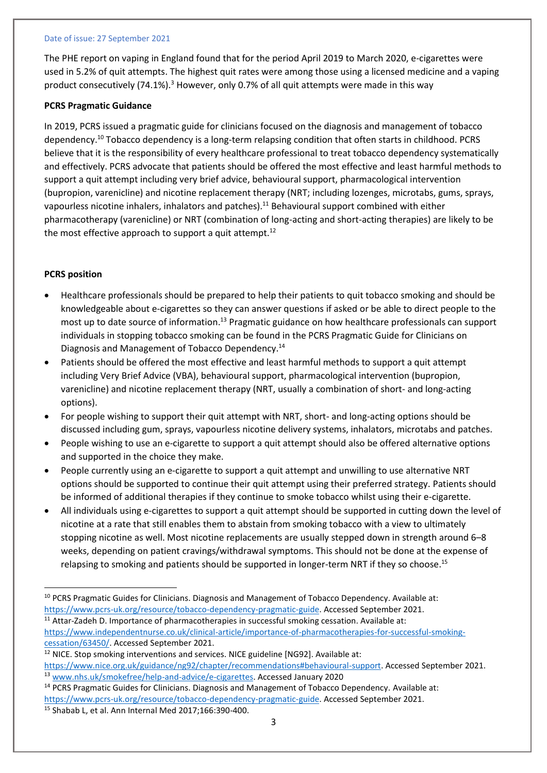#### Date of issue: 27 September 2021

The PHE report on vaping in England found that for the period April 2019 to March 2020, e-cigarettes were used in 5.2% of quit attempts. The highest quit rates were among those using a licensed medicine and a vaping product consecutively (74.1%).<sup>3</sup> However, only 0.7% of all quit attempts were made in this way

#### **PCRS Pragmatic Guidance**

In 2019, PCRS issued a pragmatic guide for clinicians focused on the diagnosis and management of tobacco dependency.<sup>10</sup> Tobacco dependency is a long-term relapsing condition that often starts in childhood. PCRS believe that it is the responsibility of every healthcare professional to treat tobacco dependency systematically and effectively. PCRS advocate that patients should be offered the most effective and least harmful methods to support a quit attempt including very brief advice, behavioural support, pharmacological intervention (bupropion, varenicline) and nicotine replacement therapy (NRT; including lozenges, microtabs, gums, sprays, vapourless nicotine inhalers, inhalators and patches).<sup>11</sup> Behavioural support combined with either pharmacotherapy (varenicline) or NRT (combination of long-acting and short-acting therapies) are likely to be the most effective approach to support a quit attempt.<sup>12</sup>

## **PCRS position**

- Healthcare professionals should be prepared to help their patients to quit tobacco smoking and should be knowledgeable about e-cigarettes so they can answer questions if asked or be able to direct people to the most up to date source of information.<sup>13</sup> Pragmatic guidance on how healthcare professionals can support individuals in stopping tobacco smoking can be found in the PCRS Pragmatic Guide for Clinicians on Diagnosis and Management of Tobacco Dependency.<sup>14</sup>
- Patients should be offered the most effective and least harmful methods to support a quit attempt including Very Brief Advice (VBA), behavioural support, pharmacological intervention (bupropion, varenicline) and nicotine replacement therapy (NRT, usually a combination of short- and long-acting options).
- For people wishing to support their quit attempt with NRT, short- and long-acting options should be discussed including gum, sprays, vapourless nicotine delivery systems, inhalators, microtabs and patches.
- People wishing to use an e-cigarette to support a quit attempt should also be offered alternative options and supported in the choice they make.
- People currently using an e-cigarette to support a quit attempt and unwilling to use alternative NRT options should be supported to continue their quit attempt using their preferred strategy. Patients should be informed of additional therapies if they continue to smoke tobacco whilst using their e-cigarette.
- All individuals using e-cigarettes to support a quit attempt should be supported in cutting down the level of nicotine at a rate that still enables them to abstain from smoking tobacco with a view to ultimately stopping nicotine as well. Most nicotine replacements are usually stepped down in strength around 6–8 weeks, depending on patient cravings/withdrawal symptoms. This should not be done at the expense of relapsing to smoking and patients should be supported in longer-term NRT if they so choose.<sup>15</sup>

[https://www.independentnurse.co.uk/clinical-article/importance-of-pharmacotherapies-for-successful-smoking](https://www.independentnurse.co.uk/clinical-article/importance-of-pharmacotherapies-for-successful-smoking-cessation/63450/)[cessation/63450/.](https://www.independentnurse.co.uk/clinical-article/importance-of-pharmacotherapies-for-successful-smoking-cessation/63450/) Accessed September 2021.

<sup>14</sup> PCRS Pragmatic Guides for Clinicians. Diagnosis and Management of Tobacco Dependency. Available at: [https://www.pcrs-uk.org/resource/tobacco-dependency-pragmatic-guide.](https://www.pcrs-uk.org/resource/tobacco-dependency-pragmatic-guide) Accessed September 2021.

<sup>10</sup> PCRS Pragmatic Guides for Clinicians. Diagnosis and Management of Tobacco Dependency. Available at: [https://www.pcrs-uk.org/resource/tobacco-dependency-pragmatic-guide.](https://www.pcrs-uk.org/resource/tobacco-dependency-pragmatic-guide) Accessed September 2021. <sup>11</sup> Attar-Zadeh D. Importance of pharmacotherapies in successful smoking cessation. Available at:

<sup>&</sup>lt;sup>12</sup> NICE. Stop smoking interventions and services. NICE guideline [NG92]. Available at: [https://www.nice.org.uk/guidance/ng92/chapter/recommendations#behavioural-support.](https://www.nice.org.uk/guidance/ng92/chapter/recommendations#behavioural-support) Accessed September 2021.

<sup>13</sup> [www.nhs.uk/smokefree/help-and-advice/e-cigarettes.](http://www.nhs.uk/smokefree/help-and-advice/e-cigarettes) Accessed January 2020

<sup>15</sup> Shabab L, et al. Ann Internal Med 2017;166:390-400.